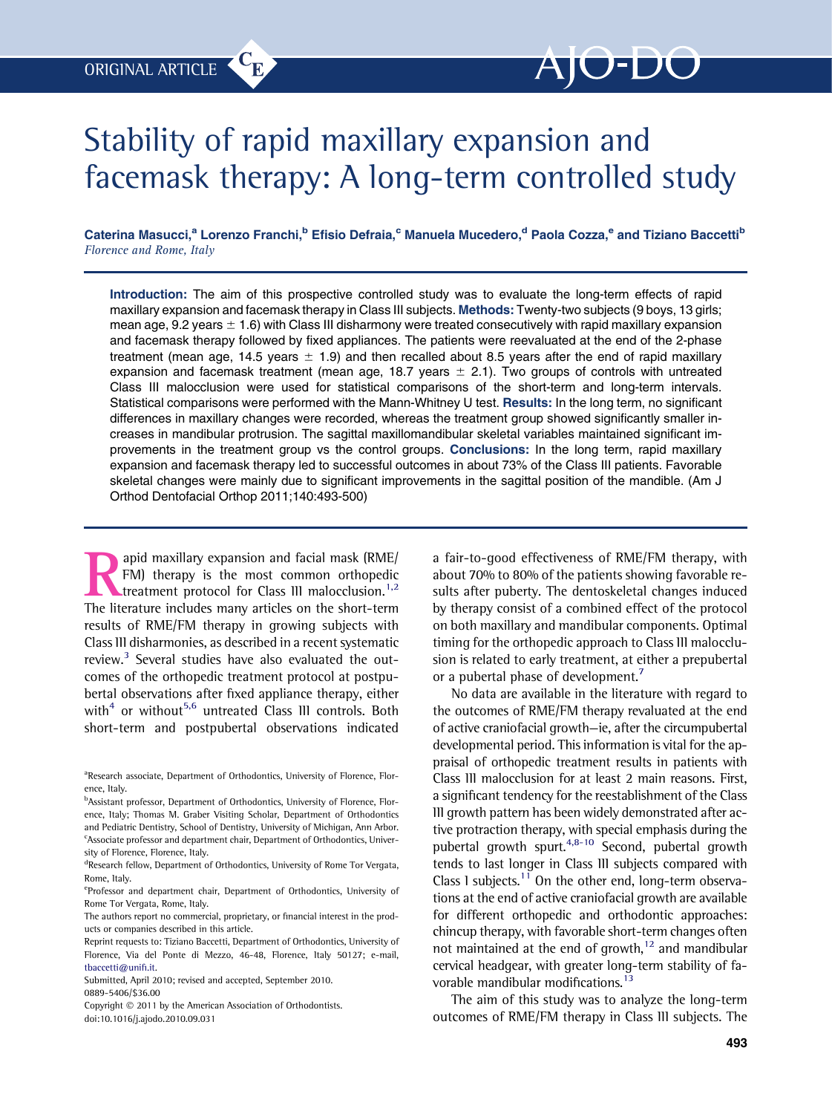# Stability of rapid maxillary expansion and facemask therapy: A long-term controlled study

Caterina Masucci,<sup>a</sup> Lorenzo Franchi,<sup>b</sup> Efisio Defraia,<sup>c</sup> Manuela Mucedero,<sup>d</sup> Paola Cozza,<sup>e</sup> and Tiziano Baccetti<sup>b</sup> Florence and Rome, Italy

Introduction: The aim of this prospective controlled study was to evaluate the long-term effects of rapid maxillary expansion and facemask therapy in Class III subjects. Methods: Twenty-two subjects (9 boys, 13 girls; mean age, 9.2 years  $\pm$  1.6) with Class III disharmony were treated consecutively with rapid maxillary expansion and facemask therapy followed by fixed appliances. The patients were reevaluated at the end of the 2-phase treatment (mean age, 14.5 years  $\pm$  1.9) and then recalled about 8.5 years after the end of rapid maxillary expansion and facemask treatment (mean age, 18.7 years  $\pm$  2.1). Two groups of controls with untreated Class III malocclusion were used for statistical comparisons of the short-term and long-term intervals. Statistical comparisons were performed with the Mann-Whitney U test. Results: In the long term, no significant differences in maxillary changes were recorded, whereas the treatment group showed significantly smaller increases in mandibular protrusion. The sagittal maxillomandibular skeletal variables maintained significant improvements in the treatment group vs the control groups. Conclusions: In the long term, rapid maxillary expansion and facemask therapy led to successful outcomes in about 73% of the Class III patients. Favorable skeletal changes were mainly due to significant improvements in the sagittal position of the mandible. (Am J Orthod Dentofacial Orthop 2011;140:493-500)

**EXECUTE 15 A Property CONTROLLER SUBDENTIFY (SIMPLEM)** therapy is the most common orthopedic treatment protocol for Class III malocclusion.<sup>1,2</sup><br>The literature includes many articles on the short-term FM) therapy is the most common orthopedic treatment protocol for Class III malocclusion.<sup>[1,2](#page-6-0)</sup> The literature includes many articles on the short-term results of RME/FM therapy in growing subjects with Class III disharmonies, as described in a recent systematic review. $3$  Several studies have also evaluated the outcomes of the orthopedic treatment protocol at postpubertal observations after fixed appliance therapy, either with $4$  or without<sup>[5,6](#page-6-0)</sup> untreated Class III controls. Both short-term and postpubertal observations indicated

<sup>a</sup>Research associate, Department of Orthodontics, University of Florence, Florence, Italy.

**b**Assistant professor, Department of Orthodontics, University of Florence, Florence, Italy; Thomas M. Graber Visiting Scholar, Department of Orthodontics and Pediatric Dentistry, School of Dentistry, University of Michigan, Ann Arbor. <sup>c</sup>Associate professor and department chair, Department of Orthodontics, University of Florence, Florence, Italy.

<sup>d</sup>Research fellow, Department of Orthodontics, University of Rome Tor Vergata, Rome, Italy.

eProfessor and department chair, Department of Orthodontics, University of Rome Tor Vergata, Rome, Italy.

The authors report no commercial, proprietary, or financial interest in the products or companies described in this article.

Reprint requests to: Tiziano Baccetti, Department of Orthodontics, University of Florence, Via del Ponte di Mezzo, 46-48, Florence, Italy 50127; e-mail, [tbaccetti@uni](mailto:tbaccetti@unifi.it)fi.it.

Submitted, April 2010; revised and accepted, September 2010. 0889-5406/\$36.00

Copyright  $@ 2011$  by the American Association of Orthodontists. doi:10.1016/j.ajodo.2010.09.031

a fair-to-good effectiveness of RME/FM therapy, with about 70% to 80% of the patients showing favorable results after puberty. The dentoskeletal changes induced by therapy consist of a combined effect of the protocol on both maxillary and mandibular components. Optimal timing for the orthopedic approach to Class III malocclusion is related to early treatment, at either a prepubertal or a pubertal phase of development.<sup>[7](#page-6-0)</sup>

No data are available in the literature with regard to the outcomes of RME/FM therapy revaluated at the end of active craniofacial growth—ie, after the circumpubertal developmental period. This information is vital for the appraisal of orthopedic treatment results in patients with Class III malocclusion for at least 2 main reasons. First, a significant tendency for the reestablishment of the Class III growth pattern has been widely demonstrated after active protraction therapy, with special emphasis during the pubertal growth spurt.<sup>4,8-10</sup> Second, pubertal growth tends to last longer in Class III subjects compared with Class 1 subjects.<sup>[11](#page-7-0)</sup> On the other end, long-term observations at the end of active craniofacial growth are available for different orthopedic and orthodontic approaches: chincup therapy, with favorable short-term changes often not maintained at the end of growth, $12$  and mandibular cervical headgear, with greater long-term stability of favorable mandibular modifications.<sup>13</sup>

The aim of this study was to analyze the long-term outcomes of RME/FM therapy in Class III subjects. The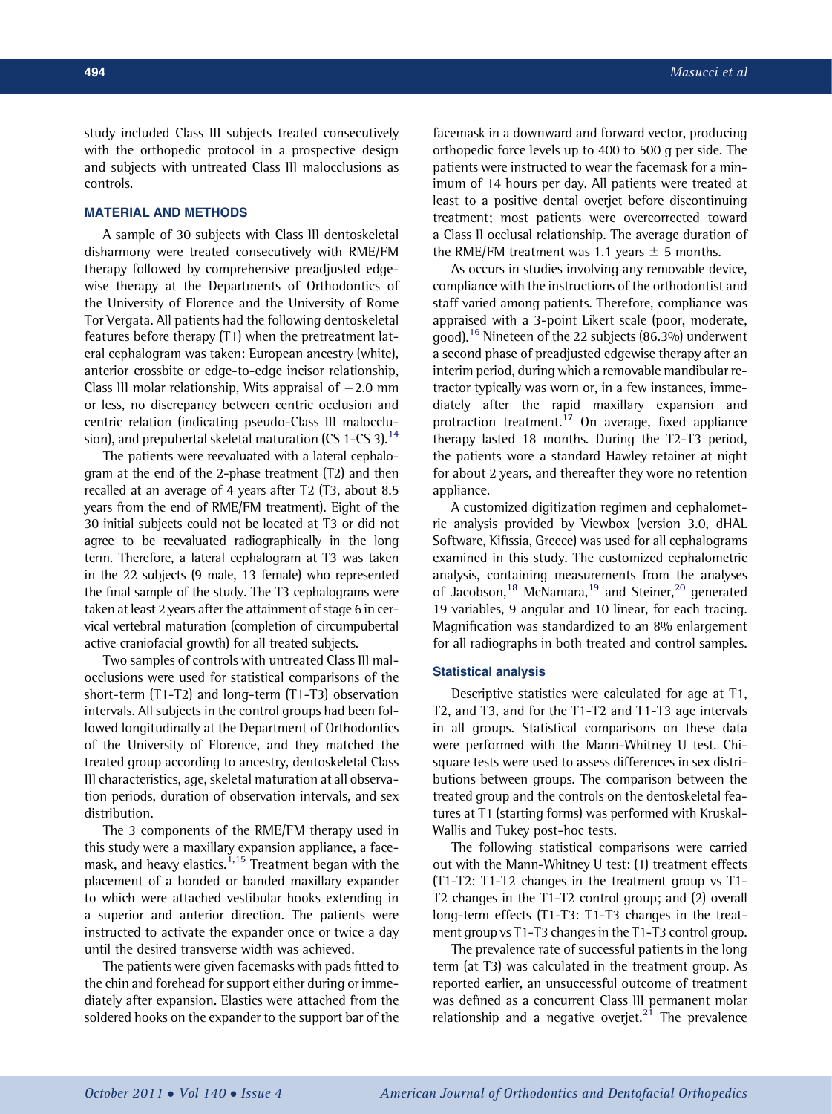study included Class III subjects treated consecutively with the orthopedic protocol in a prospective design and subjects with untreated Class III malocclusions as controls.

## MATERIAL AND METHODS

A sample of 30 subjects with Class III dentoskeletal disharmony were treated consecutively with RME/FM therapy followed by comprehensive preadjusted edgewise therapy at the Departments of Orthodontics of the University of Florence and the University of Rome Tor Vergata. All patients had the following dentoskeletal features before therapy (T1) when the pretreatment lateral cephalogram was taken: European ancestry (white), anterior crossbite or edge-to-edge incisor relationship, Class III molar relationship, Wits appraisal of  $-2.0$  mm or less, no discrepancy between centric occlusion and centric relation (indicating pseudo-Class III malocclu-sion), and prepubertal skeletal maturation (CS 1-CS 3).<sup>[14](#page-7-0)</sup>

The patients were reevaluated with a lateral cephalogram at the end of the 2-phase treatment (T2) and then recalled at an average of 4 years after T2 (T3, about 8.5 years from the end of RME/FM treatment). Eight of the 30 initial subjects could not be located at T3 or did not agree to be reevaluated radiographically in the long term. Therefore, a lateral cephalogram at T3 was taken in the 22 subjects (9 male, 13 female) who represented the final sample of the study. The T3 cephalograms were taken at least 2 years after the attainment of stage 6 in cervical vertebral maturation (completion of circumpubertal active craniofacial growth) for all treated subjects.

Two samples of controls with untreated Class III malocclusions were used for statistical comparisons of the short-term (T1-T2) and long-term (T1-T3) observation intervals. All subjects in the control groups had been followed longitudinally at the Department of Orthodontics of the University of Florence, and they matched the treated group according to ancestry, dentoskeletal Class III characteristics, age, skeletal maturation at all observation periods, duration of observation intervals, and sex distribution.

The 3 components of the RME/FM therapy used in this study were a maxillary expansion appliance, a face-mask, and heavy elastics.<sup>[1,15](#page-6-0)</sup> Treatment began with the placement of a bonded or banded maxillary expander to which were attached vestibular hooks extending in a superior and anterior direction. The patients were instructed to activate the expander once or twice a day until the desired transverse width was achieved.

The patients were given facemasks with pads fitted to the chin and forehead for support either during or immediately after expansion. Elastics were attached from the soldered hooks on the expander to the support bar of the facemask in a downward and forward vector, producing orthopedic force levels up to 400 to 500 g per side. The patients were instructed to wear the facemask for a minimum of 14 hours per day. All patients were treated at least to a positive dental overjet before discontinuing treatment; most patients were overcorrected toward a Class II occlusal relationship. The average duration of the RME/FM treatment was 1.1 years  $\pm$  5 months.

As occurs in studies involving any removable device, compliance with the instructions of the orthodontist and staff varied among patients. Therefore, compliance was appraised with a 3-point Likert scale (poor, moderate, good).[16](#page-7-0) Nineteen of the 22 subjects (86.3%) underwent a second phase of preadjusted edgewise therapy after an interim period, during which a removable mandibular retractor typically was worn or, in a few instances, immediately after the rapid maxillary expansion and protraction treatment.<sup>[17](#page-7-0)</sup> On average, fixed appliance therapy lasted 18 months. During the T2-T3 period, the patients wore a standard Hawley retainer at night for about 2 years, and thereafter they wore no retention appliance.

A customized digitization regimen and cephalometric analysis provided by Viewbox (version 3.0, dHAL Software, Kifissia, Greece) was used for all cephalograms examined in this study. The customized cephalometric analysis, containing measurements from the analyses of Jacobson,<sup>[18](#page-7-0)</sup> McNamara,<sup>[19](#page-7-0)</sup> and Steiner,<sup>[20](#page-7-0)</sup> generated 19 variables, 9 angular and 10 linear, for each tracing. Magnification was standardized to an 8% enlargement for all radiographs in both treated and control samples.

# Statistical analysis

Descriptive statistics were calculated for age at T1, T2, and T3, and for the T1-T2 and T1-T3 age intervals in all groups. Statistical comparisons on these data were performed with the Mann-Whitney U test. Chisquare tests were used to assess differences in sex distributions between groups. The comparison between the treated group and the controls on the dentoskeletal features at T1 (starting forms) was performed with Kruskal-Wallis and Tukey post-hoc tests.

The following statistical comparisons were carried out with the Mann-Whitney U test: (1) treatment effects (T1-T2: T1-T2 changes in the treatment group vs T1- T2 changes in the T1-T2 control group; and (2) overall long-term effects (T1-T3: T1-T3 changes in the treatment group vs T1-T3 changes in the T1-T3 control group.

The prevalence rate of successful patients in the long term (at T3) was calculated in the treatment group. As reported earlier, an unsuccessful outcome of treatment was defined as a concurrent Class III permanent molar relationship and a negative overjet.<sup>[21](#page-7-0)</sup> The prevalence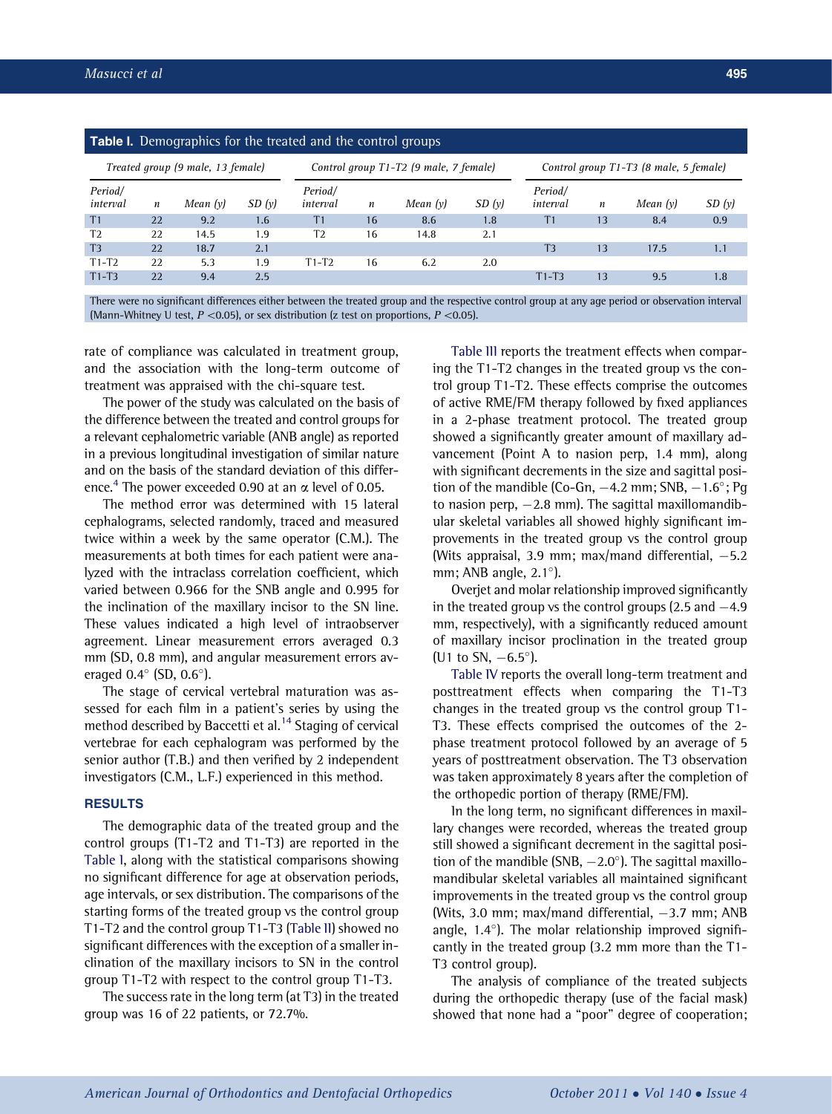<span id="page-2-0"></span>

| <b>Table I.</b> Demographics for the treated and the control groups |                  |          |       |                                        |                  |          |       |                                        |                  |          |       |  |
|---------------------------------------------------------------------|------------------|----------|-------|----------------------------------------|------------------|----------|-------|----------------------------------------|------------------|----------|-------|--|
| Treated group (9 male, 13 female)                                   |                  |          |       | Control group T1-T2 (9 male, 7 female) |                  |          |       | Control group T1-T3 (8 male, 5 female) |                  |          |       |  |
| Period/<br>interval                                                 | $\boldsymbol{n}$ | Mean (y) | SD(y) | Period/<br>interval                    | $\boldsymbol{n}$ | Mean (y) | SD(y) | Period/<br>interval                    | $\boldsymbol{n}$ | Mean (y) | SD(y) |  |
| T <sub>1</sub>                                                      | 22               | 9.2      | 1.6   | T <sub>1</sub>                         | 16               | 8.6      | 1.8   | T <sub>1</sub>                         | 13               | 8.4      | 0.9   |  |
| T <sub>2</sub>                                                      | 22               | 14.5     | 1.9   | T <sub>2</sub>                         | 16               | 14.8     | 2.1   |                                        |                  |          |       |  |
| T3                                                                  | 22               | 18.7     | 2.1   |                                        |                  |          |       | T3                                     | 13               | 17.5     | 1.1   |  |
| $T1-T2$                                                             | 22               | 5.3      | 1.9   | $T1-T2$                                | 16               | 6.2      | 2.0   |                                        |                  |          |       |  |
| $T1-T3$                                                             | 22               | 9.4      | 2.5   |                                        |                  |          |       | $T1-T3$                                | 13               | 9.5      | 1.8   |  |
|                                                                     |                  |          |       |                                        |                  |          |       |                                        |                  |          |       |  |

There were no significant differences either between the treated group and the respective control group at any age period or observation interval (Mann-Whitney U test,  $P \le 0.05$ ), or sex distribution (z test on proportions,  $P \le 0.05$ ).

rate of compliance was calculated in treatment group, and the association with the long-term outcome of treatment was appraised with the chi-square test.

The power of the study was calculated on the basis of the difference between the treated and control groups for a relevant cephalometric variable (ANB angle) as reported in a previous longitudinal investigation of similar nature and on the basis of the standard deviation of this difference.<sup>4</sup> The power exceeded 0.90 at an  $\alpha$  level of 0.05.

The method error was determined with 15 lateral cephalograms, selected randomly, traced and measured twice within a week by the same operator (C.M.). The measurements at both times for each patient were analyzed with the intraclass correlation coefficient, which varied between 0.966 for the SNB angle and 0.995 for the inclination of the maxillary incisor to the SN line. These values indicated a high level of intraobserver agreement. Linear measurement errors averaged 0.3 mm (SD, 0.8 mm), and angular measurement errors averaged  $0.4^{\circ}$  (SD,  $0.6^{\circ}$ ).

The stage of cervical vertebral maturation was assessed for each film in a patient's series by using the method described by Baccetti et al.<sup>[14](#page-7-0)</sup> Staging of cervical vertebrae for each cephalogram was performed by the senior author (T.B.) and then verified by 2 independent investigators (C.M., L.F.) experienced in this method.

### RESULTS

The demographic data of the treated group and the control groups (T1-T2 and T1-T3) are reported in the Table I, along with the statistical comparisons showing no significant difference for age at observation periods, age intervals, or sex distribution. The comparisons of the starting forms of the treated group vs the control group T1-T2 and the control group T1-T3 [\(Table II](#page-3-0)) showed no significant differences with the exception of a smaller inclination of the maxillary incisors to SN in the control group T1-T2 with respect to the control group T1-T3.

The success rate in the long term (at T3) in the treated group was 16 of 22 patients, or 72.7%.

[Table III](#page-4-0) reports the treatment effects when comparing the T1-T2 changes in the treated group vs the control group T1-T2. These effects comprise the outcomes of active RME/FM therapy followed by fixed appliances in a 2-phase treatment protocol. The treated group showed a significantly greater amount of maxillary advancement (Point A to nasion perp, 1.4 mm), along with significant decrements in the size and sagittal position of the mandible (Co-Gn,  $-4.2$  mm; SNB,  $-1.6^{\circ}$ ; Pg to nasion perp,  $-2.8$  mm). The sagittal maxillomandibular skeletal variables all showed highly significant improvements in the treated group vs the control group (Wits appraisal, 3.9 mm; max/mand differential,  $-5.2$ mm; ANB angle,  $2.1^\circ$ ).

Overjet and molar relationship improved significantly in the treated group vs the control groups  $(2.5 \text{ and } -4.9)$ mm, respectively), with a significantly reduced amount of maxillary incisor proclination in the treated group (U1 to SN,  $-6.5^{\circ}$ ).

[Table IV](#page-5-0) reports the overall long-term treatment and posttreatment effects when comparing the T1-T3 changes in the treated group vs the control group T1- T3. These effects comprised the outcomes of the 2 phase treatment protocol followed by an average of 5 years of posttreatment observation. The T3 observation was taken approximately 8 years after the completion of the orthopedic portion of therapy (RME/FM).

In the long term, no significant differences in maxillary changes were recorded, whereas the treated group still showed a significant decrement in the sagittal position of the mandible (SNB,  $-2.0^{\circ}$ ). The sagittal maxillomandibular skeletal variables all maintained significant improvements in the treated group vs the control group (Wits, 3.0 mm; max/mand differential,  $-3.7$  mm; ANB angle, 1.4 $\degree$ ). The molar relationship improved significantly in the treated group (3.2 mm more than the T1- T3 control group).

The analysis of compliance of the treated subjects during the orthopedic therapy (use of the facial mask) showed that none had a "poor" degree of cooperation;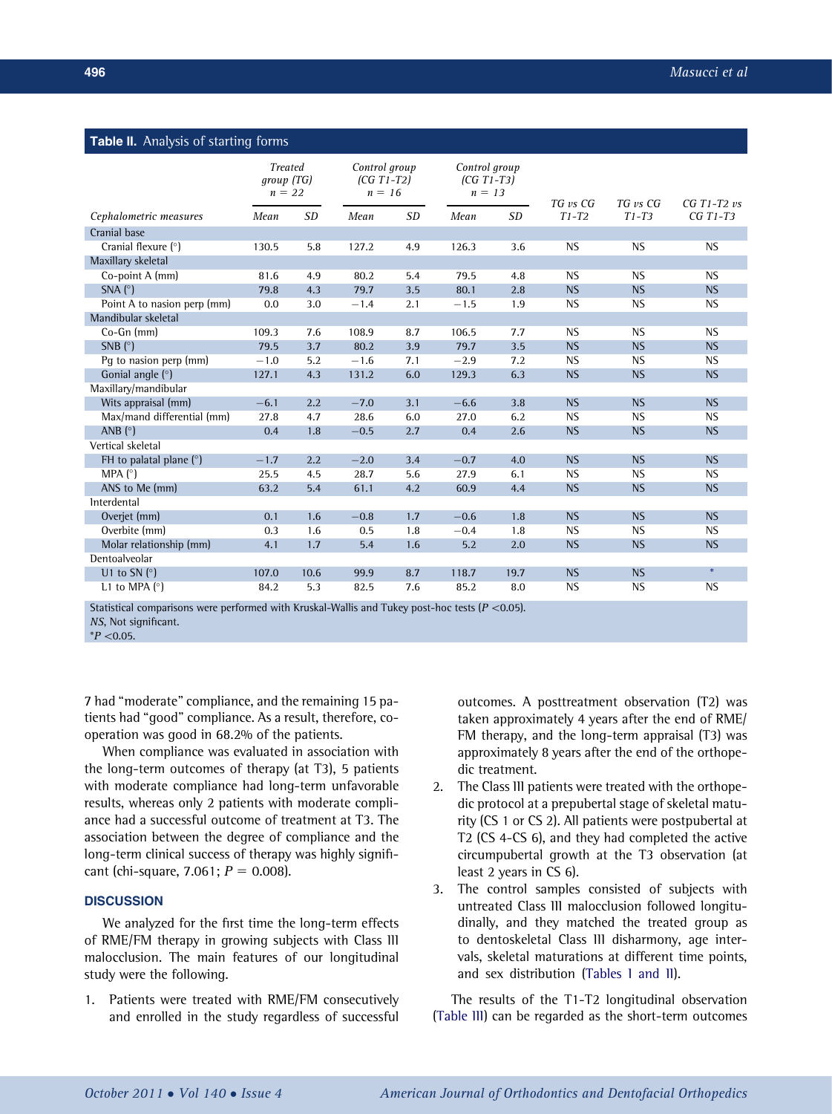# <span id="page-3-0"></span>**Table II.** Analysis of starting forms

|                                               | <b>Treated</b><br>group(TG)<br>$n = 22$ |           |        | Control group<br>$(CG T1-T2)$<br>$n = 16$ |        | Control group<br>$(CG T1-T3)$<br>$n = 13$ |                     | TG vs CG  | CG $T1-T2$ $\nu s$ |
|-----------------------------------------------|-----------------------------------------|-----------|--------|-------------------------------------------|--------|-------------------------------------------|---------------------|-----------|--------------------|
| Cephalometric measures                        | Mean                                    | <b>SD</b> | Mean   | <b>SD</b>                                 | Mean   | <b>SD</b>                                 | TG vs CG<br>$T1-T2$ | $T1-T3$   | $CGT1-T3$          |
| Cranial base                                  |                                         |           |        |                                           |        |                                           |                     |           |                    |
| Cranial flexure (°)                           | 130.5                                   | 5.8       | 127.2  | 4.9                                       | 126.3  | 3.6                                       | <b>NS</b>           | <b>NS</b> | <b>NS</b>          |
| Maxillary skeletal                            |                                         |           |        |                                           |        |                                           |                     |           |                    |
| Co-point A (mm)                               | 81.6                                    | 4.9       | 80.2   | 5.4                                       | 79.5   | 4.8                                       | <b>NS</b>           | <b>NS</b> | <b>NS</b>          |
| SNA $(^{\circ})$                              | 79.8                                    | 4.3       | 79.7   | 3.5                                       | 80.1   | 2.8                                       | <b>NS</b>           | <b>NS</b> | <b>NS</b>          |
| Point A to nasion perp (mm)                   | 0.0                                     | 3.0       | $-1.4$ | 2.1                                       | $-1.5$ | 1.9                                       | <b>NS</b>           | <b>NS</b> | <b>NS</b>          |
| Mandibular skeletal                           |                                         |           |        |                                           |        |                                           |                     |           |                    |
| Co-Gn (mm)                                    | 109.3                                   | 7.6       | 108.9  | 8.7                                       | 106.5  | 7.7                                       | <b>NS</b>           | <b>NS</b> | <b>NS</b>          |
| SNB $(^{\circ})$                              | 79.5                                    | 3.7       | 80.2   | 3.9                                       | 79.7   | 3.5                                       | <b>NS</b>           | <b>NS</b> | <b>NS</b>          |
| Pq to nasion perp (mm)                        | $-1.0$                                  | 5.2       | $-1.6$ | 7.1                                       | $-2.9$ | 7.2                                       | <b>NS</b>           | <b>NS</b> | <b>NS</b>          |
| Gonial angle $(°)$                            | 127.1                                   | 4.3       | 131.2  | 6.0                                       | 129.3  | 6.3                                       | <b>NS</b>           | <b>NS</b> | <b>NS</b>          |
| Maxillary/mandibular                          |                                         |           |        |                                           |        |                                           |                     |           |                    |
| Wits appraisal (mm)                           | $-6.1$                                  | 2.2       | $-7.0$ | 3.1                                       | $-6.6$ | 3.8                                       | <b>NS</b>           | <b>NS</b> | <b>NS</b>          |
| Max/mand differential (mm)                    | 27.8                                    | 4.7       | 28.6   | 6.0                                       | 27.0   | 6.2                                       | <b>NS</b>           | <b>NS</b> | <b>NS</b>          |
| ANB $(^{\circ})$                              | 0.4                                     | 1.8       | $-0.5$ | 2.7                                       | 0.4    | 2.6                                       | <b>NS</b>           | <b>NS</b> | <b>NS</b>          |
| Vertical skeletal                             |                                         |           |        |                                           |        |                                           |                     |           |                    |
| FH to palatal plane $(°)$                     | $-1.7$                                  | 2.2       | $-2.0$ | 3.4                                       | $-0.7$ | 4.0                                       | <b>NS</b>           | <b>NS</b> | <b>NS</b>          |
| MPA $(°)$                                     | 25.5                                    | 4.5       | 28.7   | 5.6                                       | 27.9   | 6.1                                       | <b>NS</b>           | <b>NS</b> | <b>NS</b>          |
| ANS to Me (mm)                                | 63.2                                    | 5.4       | 61.1   | 4.2                                       | 60.9   | 4.4                                       | <b>NS</b>           | <b>NS</b> | <b>NS</b>          |
| Interdental                                   |                                         |           |        |                                           |        |                                           |                     |           |                    |
| Overjet (mm)                                  | 0.1                                     | 1.6       | $-0.8$ | 1.7                                       | $-0.6$ | 1.8                                       | <b>NS</b>           | <b>NS</b> | <b>NS</b>          |
| Overbite (mm)                                 | 0.3                                     | 1.6       | 0.5    | 1.8                                       | $-0.4$ | 1.8                                       | <b>NS</b>           | <b>NS</b> | <b>NS</b>          |
| Molar relationship (mm)                       | 4.1                                     | 1.7       | 5.4    | 1.6                                       | 5.2    | 2.0                                       | <b>NS</b>           | <b>NS</b> | <b>NS</b>          |
| Dentoalveolar                                 |                                         |           |        |                                           |        |                                           |                     |           |                    |
| U1 to SN $(°)$                                | 107.0                                   | 10.6      | 99.9   | 8.7                                       | 118.7  | 19.7                                      | <b>NS</b>           | <b>NS</b> |                    |
| L1 to MPA $(°)$<br>and the state of the state | 84.2                                    | 5.3       | 82.5   | 7.6                                       | 85.2   | 8.0                                       | <b>NS</b>           | <b>NS</b> | <b>NS</b>          |

Statistical comparisons were performed with Kruskal-Wallis and Tukey post-hoc tests  $(P \lt 0.05)$ . NS, Not significant.

 $*P < 0.05$ .

7 had "moderate" compliance, and the remaining 15 patients had "good" compliance. As a result, therefore, cooperation was good in 68.2% of the patients.

When compliance was evaluated in association with the long-term outcomes of therapy (at T3), 5 patients with moderate compliance had long-term unfavorable results, whereas only 2 patients with moderate compliance had a successful outcome of treatment at T3. The association between the degree of compliance and the long-term clinical success of therapy was highly significant (chi-square, 7.061;  $P = 0.008$ ).

# **DISCUSSION**

We analyzed for the first time the long-term effects of RME/FM therapy in growing subjects with Class III malocclusion. The main features of our longitudinal study were the following.

1. Patients were treated with RME/FM consecutively and enrolled in the study regardless of successful outcomes. A posttreatment observation (T2) was taken approximately 4 years after the end of RME/ FM therapy, and the long-term appraisal (T3) was approximately 8 years after the end of the orthopedic treatment.

- 2. The Class III patients were treated with the orthopedic protocol at a prepubertal stage of skeletal maturity (CS 1 or CS 2). All patients were postpubertal at T2 (CS 4-CS 6), and they had completed the active circumpubertal growth at the T3 observation (at least 2 years in CS 6).
- 3. The control samples consisted of subjects with untreated Class III malocclusion followed longitudinally, and they matched the treated group as to dentoskeletal Class III disharmony, age intervals, skeletal maturations at different time points, and sex distribution ([Tables I and II\)](#page-2-0).

The results of the T1-T2 longitudinal observation [\(Table III](#page-4-0)) can be regarded as the short-term outcomes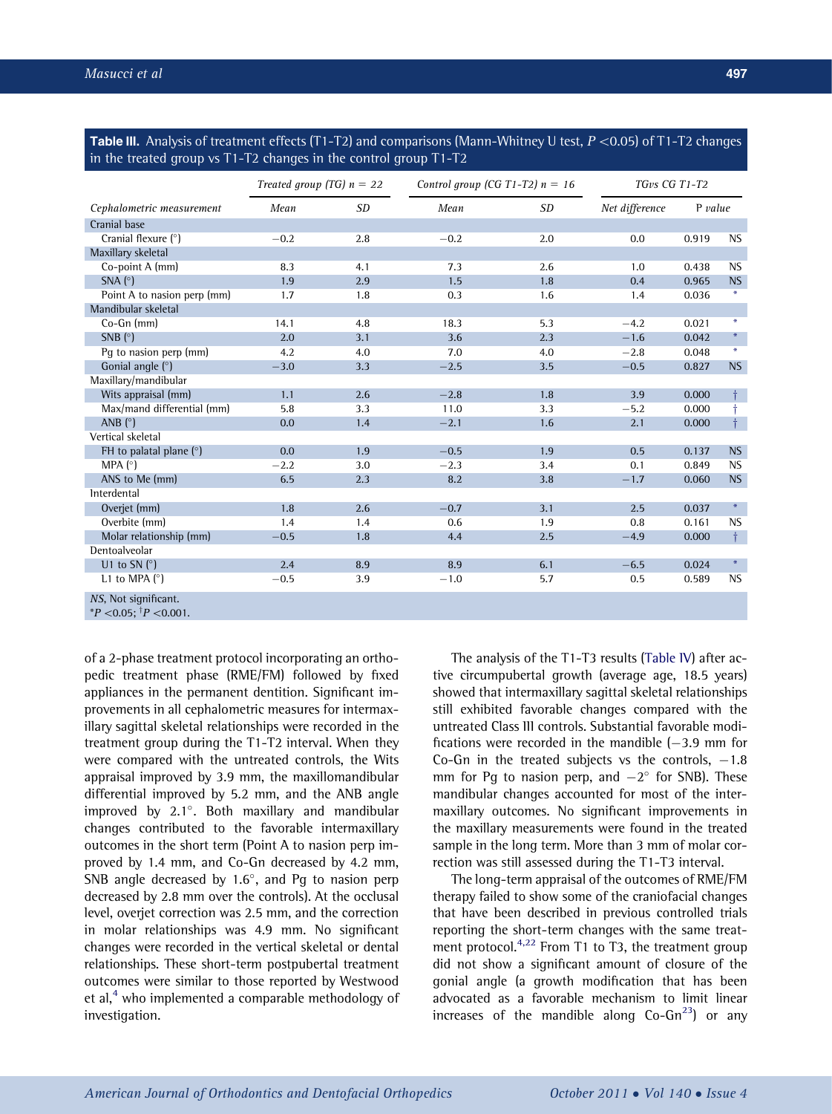<span id="page-4-0"></span>**Table III.** Analysis of treatment effects (T1-T2) and comparisons (Mann-Whitney U test,  $P \lt 0.05$ ) of T1-T2 changes in the treated group vs T1-T2 changes in the control group T1-T2

|                                                                | Treated group (TG) $n = 22$ |           | Control group (CG T1-T2) $n = 16$ | TGvs CG T1-T2 |                |           |                  |
|----------------------------------------------------------------|-----------------------------|-----------|-----------------------------------|---------------|----------------|-----------|------------------|
| Cephalometric measurement                                      | Mean                        | <b>SD</b> | Mean                              | <b>SD</b>     | Net difference | $P$ value |                  |
| Cranial base                                                   |                             |           |                                   |               |                |           |                  |
| Cranial flexure (°)                                            | $-0.2$                      | 2.8       | $-0.2$                            | 2.0           | 0.0            | 0.919     | <b>NS</b>        |
| Maxillary skeletal                                             |                             |           |                                   |               |                |           |                  |
| Co-point A (mm)                                                | 8.3                         | 4.1       | 7.3                               | 2.6           | 1.0            | 0.438     | <b>NS</b>        |
| SNA $(^{\circ})$                                               | 1.9                         | 2.9       | 1.5                               | 1.8           | 0.4            | 0.965     | <b>NS</b>        |
| Point A to nasion perp (mm)                                    | 1.7                         | 1.8       | 0.3                               | 1.6           | 1.4            | 0.036     | $\ast$           |
| Mandibular skeletal                                            |                             |           |                                   |               |                |           |                  |
| Co-Gn (mm)                                                     | 14.1                        | 4.8       | 18.3                              | 5.3           | $-4.2$         | 0.021     | $\ast$           |
| SNB $(°)$                                                      | 2.0                         | 3.1       | 3.6                               | 2.3           | $-1.6$         | 0.042     | $\ast$           |
| Pg to nasion perp (mm)                                         | 4.2                         | 4.0       | 7.0                               | 4.0           | $-2.8$         | 0.048     | $\ast$           |
| Gonial angle $(°)$                                             | $-3.0$                      | 3.3       | $-2.5$                            | 3.5           | $-0.5$         | 0.827     | <b>NS</b>        |
| Maxillary/mandibular                                           |                             |           |                                   |               |                |           |                  |
| Wits appraisal (mm)                                            | 1.1                         | 2.6       | $-2.8$                            | 1.8           | 3.9            | 0.000     |                  |
| Max/mand differential (mm)                                     | 5.8                         | 3.3       | 11.0                              | 3.3           | $-5.2$         | 0.000     |                  |
| ANB $(^{\circ})$                                               | 0.0                         | 1.4       | $-2.1$                            | 1.6           | 2.1            | 0.000     | $\dagger$        |
| Vertical skeletal                                              |                             |           |                                   |               |                |           |                  |
| FH to palatal plane $(°)$                                      | 0.0                         | 1.9       | $-0.5$                            | 1.9           | 0.5            | 0.137     | <b>NS</b>        |
| MPA $(°)$                                                      | $-2.2$                      | 3.0       | $-2.3$                            | 3.4           | 0.1            | 0.849     | <b>NS</b>        |
| ANS to Me (mm)                                                 | 6.5                         | 2.3       | 8.2                               | 3.8           | $-1.7$         | 0.060     | <b>NS</b>        |
| Interdental                                                    |                             |           |                                   |               |                |           |                  |
| Overjet (mm)                                                   | 1.8                         | 2.6       | $-0.7$                            | 3.1           | 2.5            | 0.037     | $\divideontimes$ |
| Overbite (mm)                                                  | 1.4                         | 1.4       | 0.6                               | 1.9           | 0.8            | 0.161     | <b>NS</b>        |
| Molar relationship (mm)                                        | $-0.5$                      | 1.8       | 4.4                               | 2.5           | $-4.9$         | 0.000     | $\dagger$        |
| Dentoalveolar                                                  |                             |           |                                   |               |                |           |                  |
| U1 to SN $(°)$                                                 | 2.4                         | 8.9       | 8.9                               | 6.1           | $-6.5$         | 0.024     | $\ast$           |
| L1 to MPA $(°)$                                                | $-0.5$                      | 3.9       | $-1.0$                            | 5.7           | 0.5            | 0.589     | NS.              |
| NS, Not significant.<br>$^{*}P$ < 0.05: $^{\dagger}P$ < 0.001. |                             |           |                                   |               |                |           |                  |

of a 2-phase treatment protocol incorporating an orthopedic treatment phase (RME/FM) followed by fixed appliances in the permanent dentition. Significant improvements in all cephalometric measures for intermaxillary sagittal skeletal relationships were recorded in the treatment group during the T1-T2 interval. When they were compared with the untreated controls, the Wits appraisal improved by 3.9 mm, the maxillomandibular differential improved by 5.2 mm, and the ANB angle improved by  $2.1^\circ$ . Both maxillary and mandibular changes contributed to the favorable intermaxillary outcomes in the short term (Point A to nasion perp improved by 1.4 mm, and Co-Gn decreased by 4.2 mm, SNB angle decreased by  $1.6^{\circ}$ , and Pg to nasion perp decreased by 2.8 mm over the controls). At the occlusal level, overjet correction was 2.5 mm, and the correction in molar relationships was 4.9 mm. No significant changes were recorded in the vertical skeletal or dental relationships. These short-term postpubertal treatment outcomes were similar to those reported by Westwood et al, $4$  who implemented a comparable methodology of investigation.

The analysis of the T1-T3 results [\(Table IV](#page-5-0)) after active circumpubertal growth (average age, 18.5 years) showed that intermaxillary sagittal skeletal relationships still exhibited favorable changes compared with the untreated Class III controls. Substantial favorable modifications were recorded in the mandible  $(-3.9 \text{ mm}$  for Co-Gn in the treated subjects vs the controls,  $-1.8$ mm for Pg to nasion perp, and  $-2^{\circ}$  for SNB). These mandibular changes accounted for most of the intermaxillary outcomes. No significant improvements in the maxillary measurements were found in the treated sample in the long term. More than 3 mm of molar correction was still assessed during the T1-T3 interval.

The long-term appraisal of the outcomes of RME/FM therapy failed to show some of the craniofacial changes that have been described in previous controlled trials reporting the short-term changes with the same treat-ment protocol.<sup>[4,22](#page-6-0)</sup> From T1 to T3, the treatment group did not show a significant amount of closure of the gonial angle (a growth modification that has been advocated as a favorable mechanism to limit linear increases of the mandible along  $Co-Gn^{23}$  $Co-Gn^{23}$  $Co-Gn^{23}$  or any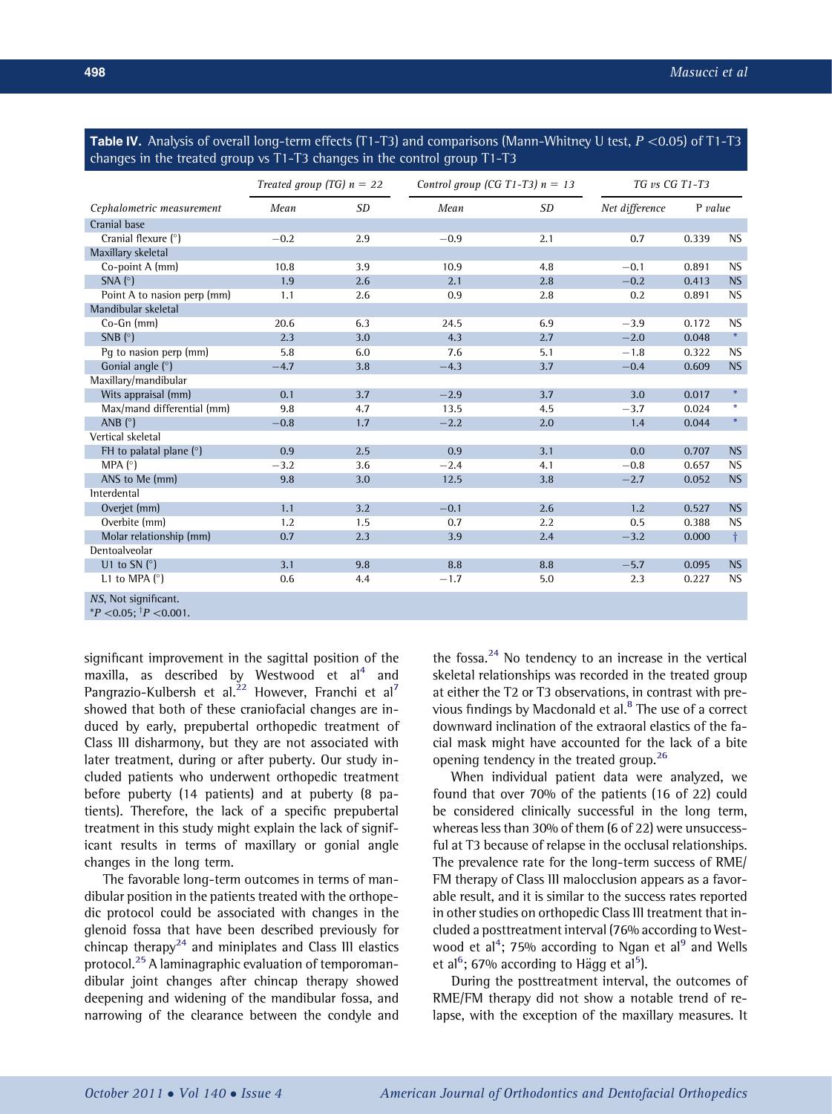<span id="page-5-0"></span>Table IV. Analysis of overall long-term effects (T1-T3) and comparisons (Mann-Whitney U test,  $P \lt 0.05$ ) of T1-T3 changes in the treated group vs T1-T3 changes in the control group T1-T3

|                                                                | Treated group (TG) $n = 22$ |           | Control group (CG T1-T3) $n = 13$ | TG vs CG T1-T3 |                |         |                  |
|----------------------------------------------------------------|-----------------------------|-----------|-----------------------------------|----------------|----------------|---------|------------------|
| Cephalometric measurement                                      | Mean                        | <b>SD</b> | Mean                              | <b>SD</b>      | Net difference | P value |                  |
| Cranial base                                                   |                             |           |                                   |                |                |         |                  |
| Cranial flexure (°)                                            | $-0.2$                      | 2.9       | $-0.9$                            | 2.1            | 0.7            | 0.339   | <b>NS</b>        |
| Maxillary skeletal                                             |                             |           |                                   |                |                |         |                  |
| Co-point A (mm)                                                | 10.8                        | 3.9       | 10.9                              | 4.8            | $-0.1$         | 0.891   | <b>NS</b>        |
| $SNA(^{\circ})$                                                | 1.9                         | 2.6       | 2.1                               | 2.8            | $-0.2$         | 0.413   | <b>NS</b>        |
| Point A to nasion perp (mm)                                    | 1.1                         | 2.6       | 0.9                               | 2.8            | 0.2            | 0.891   | <b>NS</b>        |
| Mandibular skeletal                                            |                             |           |                                   |                |                |         |                  |
| Co-Gn (mm)                                                     | 20.6                        | 6.3       | 24.5                              | 6.9            | $-3.9$         | 0.172   | <b>NS</b>        |
| SNB $(°)$                                                      | 2.3                         | 3.0       | 4.3                               | 2.7            | $-2.0$         | 0.048   | $\divideontimes$ |
| Pq to nasion perp (mm)                                         | 5.8                         | 6.0       | 7.6                               | 5.1            | $-1.8$         | 0.322   | <b>NS</b>        |
| Gonial angle (°)                                               | $-4.7$                      | 3.8       | $-4.3$                            | 3.7            | $-0.4$         | 0.609   | <b>NS</b>        |
| Maxillary/mandibular                                           |                             |           |                                   |                |                |         |                  |
| Wits appraisal (mm)                                            | 0.1                         | 3.7       | $-2.9$                            | 3.7            | 3.0            | 0.017   | $\ast$           |
| Max/mand differential (mm)                                     | 9.8                         | 4.7       | 13.5                              | 4.5            | $-3.7$         | 0.024   | $\ast$           |
| ANB $(^{\circ})$                                               | $-0.8$                      | 1.7       | $-2.2$                            | 2.0            | 1.4            | 0.044   | $\divideontimes$ |
| Vertical skeletal                                              |                             |           |                                   |                |                |         |                  |
| FH to palatal plane $(°)$                                      | 0.9                         | 2.5       | 0.9                               | 3.1            | 0.0            | 0.707   | <b>NS</b>        |
| MPA (°)                                                        | $-3.2$                      | 3.6       | $-2.4$                            | 4.1            | $-0.8$         | 0.657   | <b>NS</b>        |
| ANS to Me (mm)                                                 | 9.8                         | 3.0       | 12.5                              | 3.8            | $-2.7$         | 0.052   | <b>NS</b>        |
| Interdental                                                    |                             |           |                                   |                |                |         |                  |
| Overjet (mm)                                                   | 1.1                         | 3.2       | $-0.1$                            | 2.6            | 1.2            | 0.527   | <b>NS</b>        |
| Overbite (mm)                                                  | 1.2                         | 1.5       | 0.7                               | 2.2            | 0.5            | 0.388   | <b>NS</b>        |
| Molar relationship (mm)                                        | 0.7                         | 2.3       | 3.9                               | 2.4            | $-3.2$         | 0.000   | $\dagger$        |
| Dentoalveolar                                                  |                             |           |                                   |                |                |         |                  |
| U1 to SN( $\circ$ )                                            | 3.1                         | 9.8       | 8.8                               | 8.8            | $-5.7$         | 0.095   | <b>NS</b>        |
| L1 to MPA $(°)$                                                | 0.6                         | 4.4       | $-1.7$                            | 5.0            | 2.3            | 0.227   | <b>NS</b>        |
| NS, Not significant.<br>$^{*}P$ < 0.05: $^{\dagger}P$ < 0.001. |                             |           |                                   |                |                |         |                  |

significant improvement in the sagittal position of the maxilla, as described by Westwood et  $al<sup>4</sup>$  $al<sup>4</sup>$  $al<sup>4</sup>$  and Pangrazio-Kulbersh et al.<sup>[22](#page-7-0)</sup> However, Franchi et al<sup>[7](#page-6-0)</sup> showed that both of these craniofacial changes are induced by early, prepubertal orthopedic treatment of Class III disharmony, but they are not associated with later treatment, during or after puberty. Our study included patients who underwent orthopedic treatment before puberty (14 patients) and at puberty (8 patients). Therefore, the lack of a specific prepubertal treatment in this study might explain the lack of significant results in terms of maxillary or gonial angle changes in the long term.

The favorable long-term outcomes in terms of mandibular position in the patients treated with the orthopedic protocol could be associated with changes in the glenoid fossa that have been described previously for chincap therapy<sup>[24](#page-7-0)</sup> and miniplates and Class III elastics protocol.[25](#page-7-0) A laminagraphic evaluation of temporomandibular joint changes after chincap therapy showed deepening and widening of the mandibular fossa, and narrowing of the clearance between the condyle and the fossa. $^{24}$  $^{24}$  $^{24}$  No tendency to an increase in the vertical skeletal relationships was recorded in the treated group at either the T2 or T3 observations, in contrast with pre-vious findings by Macdonald et al.<sup>[8](#page-6-0)</sup> The use of a correct downward inclination of the extraoral elastics of the facial mask might have accounted for the lack of a bite opening tendency in the treated group.<sup>[26](#page-7-0)</sup>

When individual patient data were analyzed, we found that over 70% of the patients (16 of 22) could be considered clinically successful in the long term, whereas less than 30% of them (6 of 22) were unsuccessful at T3 because of relapse in the occlusal relationships. The prevalence rate for the long-term success of RME/ FM therapy of Class III malocclusion appears as a favorable result, and it is similar to the success rates reported in other studies on orthopedic Class III treatment that included a posttreatment interval (76% according to West-wood et al<sup>[4](#page-6-0)</sup>; 75% according to Ngan et al<sup>[9](#page-6-0)</sup> and Wells et al<sup>[6](#page-6-0)</sup>; 67% according to Hägg et al<sup>[5](#page-6-0)</sup>).

During the posttreatment interval, the outcomes of RME/FM therapy did not show a notable trend of relapse, with the exception of the maxillary measures. It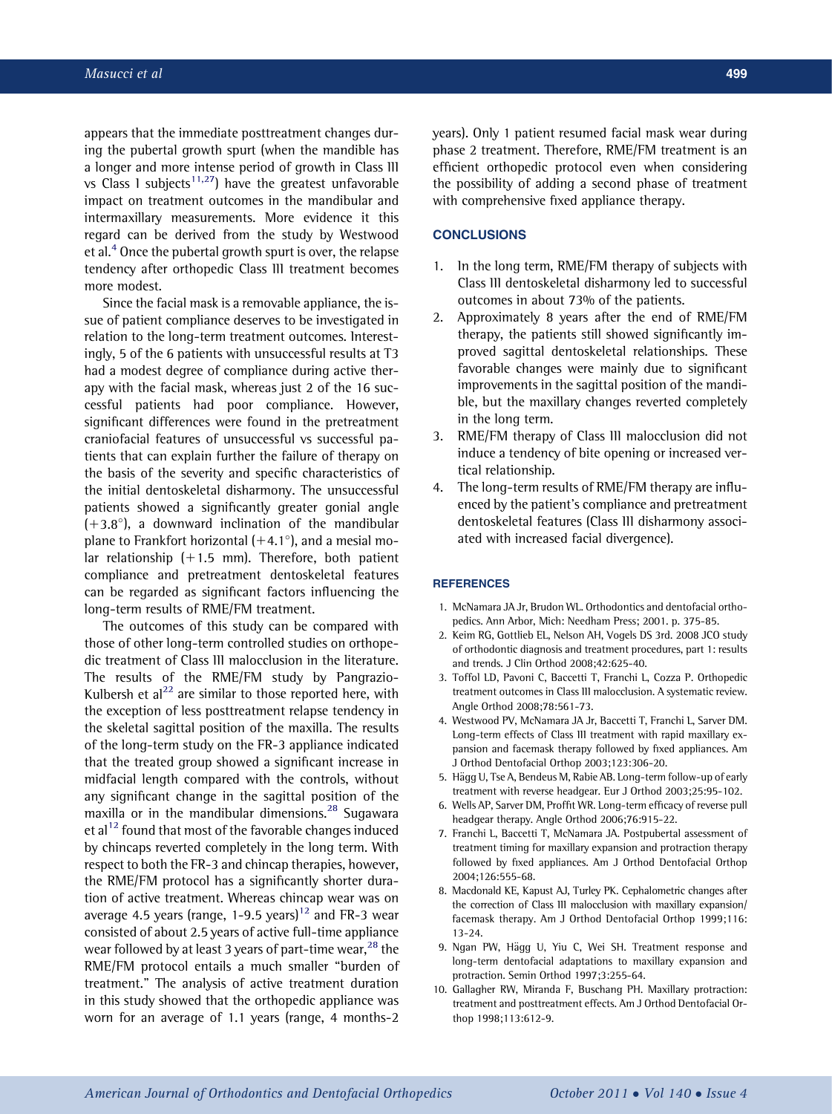<span id="page-6-0"></span>appears that the immediate posttreatment changes during the pubertal growth spurt (when the mandible has a longer and more intense period of growth in Class III vs Class 1 subjects<sup>[11,27](#page-7-0)</sup>) have the greatest unfavorable impact on treatment outcomes in the mandibular and intermaxillary measurements. More evidence it this regard can be derived from the study by Westwood et al. $4$  Once the pubertal growth spurt is over, the relapse tendency after orthopedic Class III treatment becomes more modest.

Since the facial mask is a removable appliance, the issue of patient compliance deserves to be investigated in relation to the long-term treatment outcomes. Interestingly, 5 of the 6 patients with unsuccessful results at T3 had a modest degree of compliance during active therapy with the facial mask, whereas just 2 of the 16 successful patients had poor compliance. However, significant differences were found in the pretreatment craniofacial features of unsuccessful vs successful patients that can explain further the failure of therapy on the basis of the severity and specific characteristics of the initial dentoskeletal disharmony. The unsuccessful patients showed a significantly greater gonial angle  $(+3.8^{\circ})$ , a downward inclination of the mandibular plane to Frankfort horizontal  $(+4.1^{\circ})$ , and a mesial molar relationship  $(+1.5 \text{ mm})$ . Therefore, both patient compliance and pretreatment dentoskeletal features can be regarded as significant factors influencing the long-term results of RME/FM treatment.

The outcomes of this study can be compared with those of other long-term controlled studies on orthopedic treatment of Class III malocclusion in the literature. The results of the RME/FM study by Pangrazio-Kulbersh et al<sup>22</sup> are similar to those reported here, with the exception of less posttreatment relapse tendency in the skeletal sagittal position of the maxilla. The results of the long-term study on the FR-3 appliance indicated that the treated group showed a significant increase in midfacial length compared with the controls, without any significant change in the sagittal position of the maxilla or in the mandibular dimensions.<sup>[28](#page-7-0)</sup> Sugawara et al<sup>[12](#page-7-0)</sup> found that most of the favorable changes induced by chincaps reverted completely in the long term. With respect to both the FR-3 and chincap therapies, however, the RME/FM protocol has a significantly shorter duration of active treatment. Whereas chincap wear was on average 4.5 years (range, 1-9.5 years)<sup>[12](#page-7-0)</sup> and FR-3 wear consisted of about 2.5 years of active full-time appliance wear followed by at least 3 years of part-time wear,  $^{28}$  $^{28}$  $^{28}$  the RME/FM protocol entails a much smaller "burden of treatment." The analysis of active treatment duration in this study showed that the orthopedic appliance was worn for an average of 1.1 years (range, 4 months-2

years). Only 1 patient resumed facial mask wear during phase 2 treatment. Therefore, RME/FM treatment is an efficient orthopedic protocol even when considering the possibility of adding a second phase of treatment with comprehensive fixed appliance therapy.

# **CONCLUSIONS**

- 1. In the long term, RME/FM therapy of subjects with Class III dentoskeletal disharmony led to successful outcomes in about 73% of the patients.
- 2. Approximately 8 years after the end of RME/FM therapy, the patients still showed significantly improved sagittal dentoskeletal relationships. These favorable changes were mainly due to significant improvements in the sagittal position of the mandible, but the maxillary changes reverted completely in the long term.
- 3. RME/FM therapy of Class III malocclusion did not induce a tendency of bite opening or increased vertical relationship.
- 4. The long-term results of RME/FM therapy are influenced by the patient's compliance and pretreatment dentoskeletal features (Class III disharmony associated with increased facial divergence).

#### **REFERENCES**

- 1. McNamara JA Jr, Brudon WL. Orthodontics and dentofacial orthopedics. Ann Arbor, Mich: Needham Press; 2001. p. 375-85.
- 2. Keim RG, Gottlieb EL, Nelson AH, Vogels DS 3rd. 2008 JCO study of orthodontic diagnosis and treatment procedures, part 1: results and trends. J Clin Orthod 2008;42:625-40.
- 3. Toffol LD, Pavoni C, Baccetti T, Franchi L, Cozza P. Orthopedic treatment outcomes in Class III malocclusion. A systematic review. Angle Orthod 2008;78:561-73.
- 4. Westwood PV, McNamara JA Jr, Baccetti T, Franchi L, Sarver DM. Long-term effects of Class III treatment with rapid maxillary expansion and facemask therapy followed by fixed appliances. Am J Orthod Dentofacial Orthop 2003;123:306-20.
- 5. Hägg U, Tse A, Bendeus M, Rabie AB. Long-term follow-up of early treatment with reverse headgear. Eur J Orthod 2003;25:95-102.
- 6. Wells AP, Sarver DM, Proffit WR. Long-term efficacy of reverse pull headgear therapy. Angle Orthod 2006;76:915-22.
- 7. Franchi L, Baccetti T, McNamara JA. Postpubertal assessment of treatment timing for maxillary expansion and protraction therapy followed by fixed appliances. Am J Orthod Dentofacial Orthop 2004;126:555-68.
- 8. Macdonald KE, Kapust AJ, Turley PK. Cephalometric changes after the correction of Class III malocclusion with maxillary expansion/ facemask therapy. Am J Orthod Dentofacial Orthop 1999;116: 13-24.
- 9. Ngan PW, Hägg U, Yiu C, Wei SH. Treatment response and long-term dentofacial adaptations to maxillary expansion and protraction. Semin Orthod 1997;3:255-64.
- 10. Gallagher RW, Miranda F, Buschang PH. Maxillary protraction: treatment and posttreatment effects. Am J Orthod Dentofacial Orthop 1998;113:612-9.